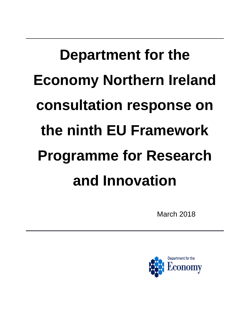## **Department for the Economy Northern Ireland consultation response on the ninth EU Framework Programme for Research and Innovation**

March 2018

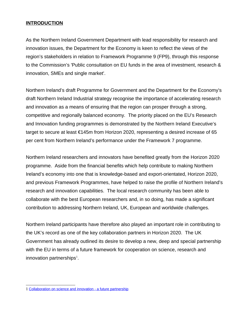## **INTRODUCTION**

 As the Northern Ireland Government Department with lead responsibility for research and innovation issues, the Department for the Economy is keen to reflect the views of the region's stakeholders in relation to Framework Programme 9 (FP9), through this response to the Commission's 'Public consultation on EU funds in the area of investment, research & innovation, SMEs and single market'.

 Northern Ireland's draft Programme for Government and the Department for the Economy's draft Northern Ireland Industrial strategy recognise the importance of accelerating research and innovation as a means of ensuring that the region can prosper through a strong, competitive and regionally balanced economy. The priority placed on the EU's Research and Innovation funding programmes is demonstrated by the Northern Ireland Executive's target to secure at least €145m from Horizon 2020, representing a desired increase of 65 per cent from Northern Ireland's performance under the Framework 7 programme.

 Northern Ireland researchers and innovators have benefited greatly from the Horizon 2020 programme. Aside from the financial benefits which help contribute to making Northern Ireland's economy into one that is knowledge-based and export-orientated, Horizon 2020, and previous Framework Programmes, have helped to raise the profile of Northern Ireland's research and innovation capabilities. The local research community has been able to collaborate with the best European researchers and, in so doing, has made a significant contribution to addressing Northern Ireland, UK, European and worldwide challenges.

 Northern Ireland participants have therefore also played an important role in contributing to the UK's record as one of the key collaboration partners in Horizon 2020. The UK Government has already outlined its desire to develop a new, deep and special partnership with the EU in terms of a future framework for cooperation on science, research and innovation partnerships $^1$ .

<span id="page-1-0"></span><sup>1</sup> [Collaboration on science and innovation - a future partnership](https://www.gov.uk/government/publications/collaboration-on-science-and-innovation-a-future-partnership-paper)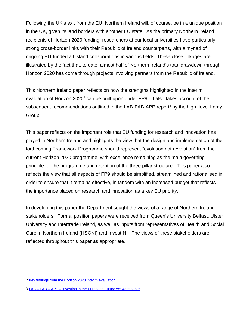Following the UK's exit from the EU, Northern Ireland will, of course, be in a unique position in the UK, given its land borders with another EU state. As the primary Northern Ireland recipients of Horizon 2020 funding, researchers at our local universities have particularly strong cross-border links with their Republic of Ireland counterparts, with a myriad of ongoing EU-funded all-island collaborations in various fields. These close linkages are illustrated by the fact that, to date, almost half of Northern Ireland's total drawdown through Horizon 2020 has come through projects involving partners from the Republic of Ireland.

 This Northern Ireland paper reflects on how the strengths highlighted in the interim evaluation of Horizon 2020 $^2$  can be built upon under FP9. It also takes account of the subsequent recommendations outlined in the LAB-FAB-APP report<sup>3</sup> by the high–level Lamy Group.

Group.<br>This paper reflects on the important role that EU funding for research and innovation has played in Northern Ireland and highlights the view that the design and implementation of the forthcoming Framework Programme should represent "evolution not revolution" from the current Horizon 2020 programme, with excellence remaining as the main governing principle for the programme and retention of the three pillar structure. This paper also reflects the view that all aspects of FP9 should be simplified, streamlined and rationalised in order to ensure that it remains effective, in tandem with an increased budget that reflects the importance placed on research and innovation as a key EU priority.

 In developing this paper the Department sought the views of a range of Northern Ireland stakeholders. Formal position papers were received from Queen's University Belfast, Ulster University and Intertrade Ireland, as well as inputs from representatives of Health and Social Care in Northern Ireland (HSCNI) and Invest NI. The views of these stakeholders are reflected throughout this paper as appropriate.

<span id="page-2-0"></span><sup>2</sup> [Key findings from the Horizon 2020 interim evaluation](https://ec.europa.eu/research/evaluations/pdf/brochure_interim_evaluation_horizon_2020_key_findings.pdf) 

<span id="page-2-1"></span><sup>3</sup> [LAB – FAB – APP – Investing in the European Future we want paper](http://ec.europa.eu/research/evaluations/pdf/archive/other_reports_studies_and_documents/hlg_2017_report.pdf)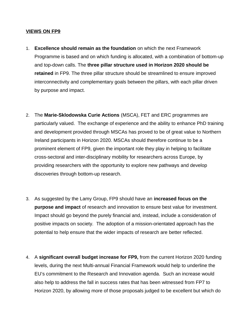## **VIEWS ON FP9**

- 1. **Excellence should remain as the foundation** on which the next Framework Programme is based and on which funding is allocated, with a combination of bottom-up and top-down calls. The **three pillar structure used in Horizon 2020 should be retained** in FP9. The three pillar structure should be streamlined to ensure improved interconnectivity and complementary goals between the pillars, with each pillar driven by purpose and impact.
- 2. The Marie-Sklodowska Curie Actions (MSCA), FET and ERC programmes are particularly valued. The exchange of experience and the ability to enhance PhD training and development provided through MSCAs has proved to be of great value to Northern Ireland participants in Horizon 2020. MSCAs should therefore continue to be a prominent element of FP9, given the important role they play in helping to facilitate cross-sectoral and inter-disciplinary mobility for researchers across Europe, by providing researchers with the opportunity to explore new pathways and develop discoveries through bottom-up research.
- 3. � As suggested by the Lamy Group, FP9 should have an **increased focus on the purpose and impact** of research and innovation to ensure best value for investment. Impact should go beyond the purely financial and, instead, include a consideration of positive impacts on society. The adoption of a mission-orientated approach has the potential to help ensure that the wider impacts of research are better reflected.
- 4. � A **significant overall budget increase for FP9,** from the current Horizon 2020 funding levels, during the next Multi-annual Financial Framework would help to underline the EU's commitment to the Research and Innovation agenda. Such an increase would also help to address the fall in success rates that has been witnessed from FP7 to Horizon 2020, by allowing more of those proposals judged to be excellent but which do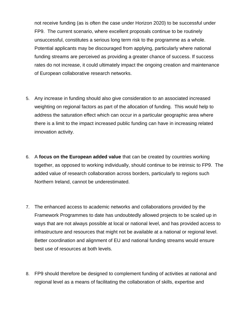not receive funding (as is often the case under Horizon 2020) to be successful under FP9. The current scenario, where excellent proposals continue to be routinely unsuccessful, constitutes a serious long term risk to the programme as a whole. Potential applicants may be discouraged from applying, particularly where national funding streams are perceived as providing a greater chance of success. If success rates do not increase, it could ultimately impact the ongoing creation and maintenance of European collaborative research networks.

- 5. Any increase in funding should also give consideration to an associated increased weighting on regional factors as part of the allocation of funding. This would help to address the saturation effect which can occur in a particular geographic area where there is a limit to the impact increased public funding can have in increasing related innovation activity.
- 6. � A **focus on the European added value** that can be created by countries working together, as opposed to working individually, should continue to be intrinsic to FP9. The added value of research collaboration across borders, particularly to regions such Northern Ireland, cannot be underestimated.
- 7. The enhanced access to academic networks and collaborations provided by the Framework Programmes to date has undoubtedly allowed projects to be scaled up in ways that are not always possible at local or national level, and has provided access to infrastructure and resources that might not be available at a national or regional level. Better coordination and alignment of EU and national funding streams would ensure best use of resources at both levels.
- 8. FP9 should therefore be designed to complement funding of activities at national and regional level as a means of facilitating the collaboration of skills, expertise and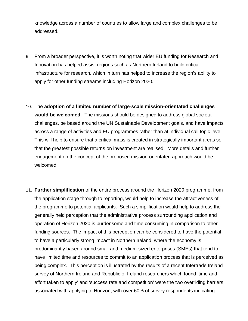knowledge across a number of countries to allow large and complex challenges to be addressed.

- addressed.<br>9. From a broader perspective, it is worth noting that wider EU funding for Research and Innovation has helped assist regions such as Northern Ireland to build critical infrastructure for research, which in turn has helped to increase the region's ability to apply for other funding streams including Horizon 2020.
- 10. �The **adoption of a limited number of large-scale mission-orientated challenges would be welcomed**. The missions should be designed to address global societal challenges, be based around the UN Sustainable Development goals, and have impacts across a range of activities and EU programmes rather than at individual call topic level. This will help to ensure that a critical mass is created in strategically important areas so that the greatest possible returns on investment are realised. More details and further engagement on the concept of the proposed mission-orientated approach would be welcomed.
- 11. **Further simplification** of the entire process around the Horizon 2020 programme, from the application stage through to reporting, would help to increase the attractiveness of the programme to potential applicants. Such a simplification would help to address the generally held perception that the administrative process surrounding application and operation of Horizon 2020 is burdensome and time consuming in comparison to other funding sources. The impact of this perception can be considered to have the potential to have a particularly strong impact in Northern Ireland, where the economy is predominantly based around small and medium-sized enterprises (SMEs) that tend to have limited time and resources to commit to an application process that is perceived as being complex. This perception is illustrated by the results of a recent Intertrade Ireland survey of Northern Ireland and Republic of Ireland researchers which found 'time and effort taken to apply' and 'success rate and competition' were the two overriding barriers associated with applying to Horizon, with over 60% of survey respondents indicating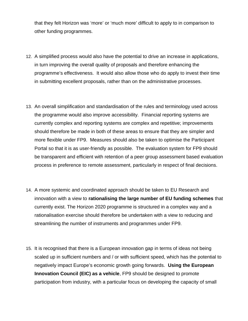that they felt Horizon was 'more' or 'much more' difficult to apply to in comparison to other funding programmes.

- 12. A simplified process would also have the potential to drive an increase in applications, in turn improving the overall quality of proposals and therefore enhancing the programme's effectiveness. It would also allow those who do apply to invest their time in submitting excellent proposals, rather than on the administrative processes.
- 13. An overall simplification and standardisation of the rules and terminology used across the programme would also improve accessibility. Financial reporting systems are currently complex and reporting systems are complex and repetitive; improvements should therefore be made in both of these areas to ensure that they are simpler and more flexible under FP9. Measures should also be taken to optimise the Participant Portal so that it is as user-friendly as possible. The evaluation system for FP9 should be transparent and efficient with retention of a peer group assessment based evaluation process in preference to remote assessment, particularly in respect of final decisions.
- 14. A more systemic and coordinated approach should be taken to EU Research and innovation with a view to **rationalising the large number of EU funding schemes** that currently exist. The Horizon 2020 programme is structured in a complex way and a rationalisation exercise should therefore be undertaken with a view to reducing and streamlining the number of instruments and programmes under FP9.
- 15. It is recognised that there is a European innovation gap in terms of ideas not being scaled up in sufficient numbers and / or with sufficient speed, which has the potential to negatively impact Europe's economic growth going forwards. **Using the European Innovation Council (EIC) as a vehicle**, FP9 should be designed to promote participation from industry, with a particular focus on developing the capacity of small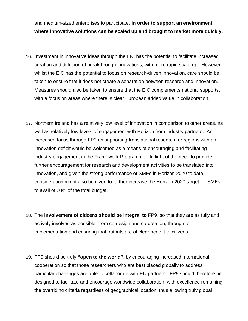and medium-sized enterprises to participate, **in order to support an environment where innovative solutions can be scaled up and brought to market more quickly.** 

- 16. Investment in innovative ideas through the EIC has the potential to facilitate increased creation and diffusion of breakthrough innovations, with more rapid scale-up. However, whilst the EIC has the potential to focus on research-driven innovation, care should be taken to ensure that it does not create a separation between research and innovation. Measures should also be taken to ensure that the EIC complements national supports, with a focus on areas where there is clear European added value in collaboration.
- 17. Northern Ireland has a relatively low level of innovation in comparison to other areas, as well as relatively low levels of engagement with Horizon from industry partners. An increased focus through FP9 on supporting translational research for regions with an innovation deficit would be welcomed as a means of encouraging and facilitating industry engagement in the Framework Programme. In light of the need to provide further encouragement for research and development activities to be translated into innovation, and given the strong performance of SMEs in Horizon 2020 to date, consideration might also be given to further increase the Horizon 2020 target for SMEs to avail of 20% of the total budget.
- 18. The **involvement of citizens should be integral to FP9**, so that they are as fully and actively involved as possible, from co-design and co-creation, through to implementation and ensuring that outputs are of clear benefit to citizens.
- 19. FP9 should be truly "**open to the world**", by encouraging increased international cooperation so that those researchers who are best placed globally to address particular challenges are able to collaborate with EU partners. FP9 should therefore be designed to facilitate and encourage worldwide collaboration, with excellence remaining the overriding criteria regardless of geographical location, thus allowing truly global